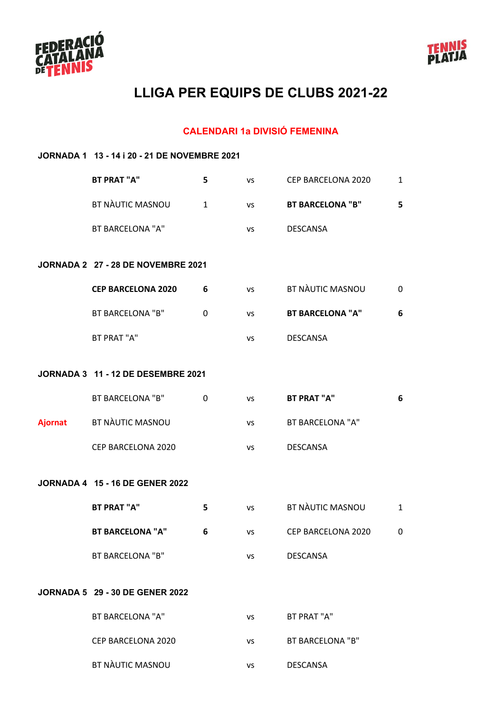



### **CALENDARI 1a DIVISIÓ FEMENINA**

|                | JORNADA 1 13 - 14 i 20 - 21 DE NOVEMBRE 2021 |              |           |                         |              |  |  |
|----------------|----------------------------------------------|--------------|-----------|-------------------------|--------------|--|--|
|                | <b>BT PRAT "A"</b>                           | 5            | <b>VS</b> | CEP BARCELONA 2020      | $\mathbf{1}$ |  |  |
|                | BT NÀUTIC MASNOU                             | $\mathbf{1}$ | <b>VS</b> | <b>BT BARCELONA "B"</b> | 5            |  |  |
|                | <b>BT BARCELONA "A"</b>                      |              | VS        | <b>DESCANSA</b>         |              |  |  |
|                | JORNADA 2 27 - 28 DE NOVEMBRE 2021           |              |           |                         |              |  |  |
|                | <b>CEP BARCELONA 2020</b>                    | 6            | <b>VS</b> | BT NÀUTIC MASNOU        | 0            |  |  |
|                | <b>BT BARCELONA "B"</b>                      | $\Omega$     | <b>VS</b> | <b>BT BARCELONA "A"</b> | 6            |  |  |
|                | BT PRAT "A"                                  |              | VS        | <b>DESCANSA</b>         |              |  |  |
|                | <b>JORNADA 3 11 - 12 DE DESEMBRE 2021</b>    |              |           |                         |              |  |  |
|                |                                              |              |           |                         |              |  |  |
|                | BT BARCELONA "B"                             | $\Omega$     | <b>VS</b> | <b>BT PRAT "A"</b>      | 6            |  |  |
| <b>Ajornat</b> | BT NAUTIC MASNOU                             |              | <b>VS</b> | <b>BT BARCELONA "A"</b> |              |  |  |
|                | CEP BARCELONA 2020                           |              | VS        | <b>DESCANSA</b>         |              |  |  |
|                | <b>JORNADA 4 15 - 16 DE GENER 2022</b>       |              |           |                         |              |  |  |
|                |                                              |              |           |                         |              |  |  |
|                | <b>BT PRAT "A"</b>                           | 5            | <b>VS</b> | <b>BT NÀUTIC MASNOU</b> | $\mathbf{1}$ |  |  |
|                | <b>BT BARCELONA "A"</b>                      | 6            | <b>VS</b> | CEP BARCELONA 2020      | 0            |  |  |
|                | <b>BT BARCELONA "B"</b>                      |              | VS        | <b>DESCANSA</b>         |              |  |  |
|                | <b>JORNADA 5 29 - 30 DE GENER 2022</b>       |              |           |                         |              |  |  |
|                |                                              |              |           |                         |              |  |  |
|                | <b>BT BARCELONA "A"</b>                      |              | VS        | BT PRAT "A"             |              |  |  |
|                | CEP BARCELONA 2020                           |              | <b>VS</b> | <b>BT BARCELONA "B"</b> |              |  |  |
|                | BT NÀUTIC MASNOU                             |              | vs        | <b>DESCANSA</b>         |              |  |  |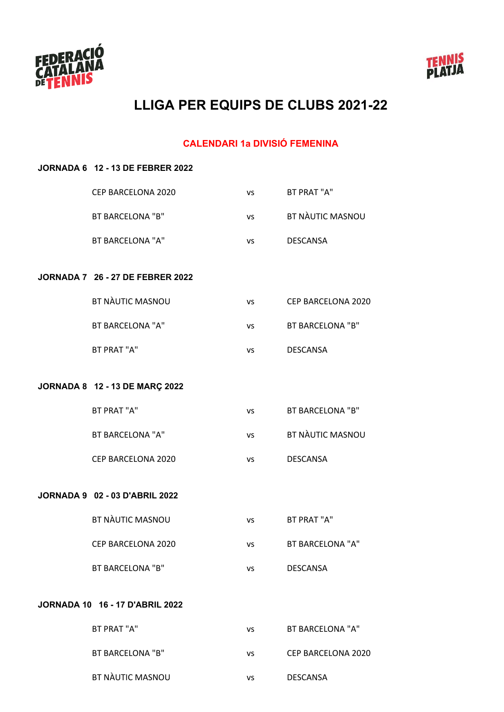



#### **CALENDARI 1a DIVISIÓ FEMENINA**

#### **JORNADA 6 12 - 13 DE FEBRER 2022**

| CEP BARCELONA 2020      | vs | BT PRAT "A"      |
|-------------------------|----|------------------|
| BT BARCELONA "B"        | VS | BT NAUTIC MASNOU |
| <b>BT BARCELONA "A"</b> | vs | <b>DESCANSA</b>  |
|                         |    |                  |

#### **JORNADA 7 26 - 27 DE FEBRER 2022**

| BT NAUTIC MASNOU | vs | CEP BARCELONA 2020 |
|------------------|----|--------------------|
| BT BARCELONA "A" | vs | BT BARCELONA "B"   |
| BT PRAT "A"      | vs | <b>DESCANSA</b>    |

#### **JORNADA 8 12 - 13 DE MARÇ 2022**

| BT PRAT "A"        | vs  | BT BARCELONA "B" |
|--------------------|-----|------------------|
| BT BARCELONA "A"   | VS. | BT NAUTIC MASNOU |
| CEP BARCELONA 2020 | vs  | <b>DESCANSA</b>  |

#### **JORNADA 9 02 - 03 D'ABRIL 2022**

| BT NAUTIC MASNOU   | vs | BT PRAT "A"      |
|--------------------|----|------------------|
| CEP BARCELONA 2020 | vs | BT BARCELONA "A" |
| BT BARCELONA "B"   | vs | DESCANSA         |

#### **JORNADA 10 16 - 17 D'ABRIL 2022**

| BT PRAT "A"      | vs | BT BARCELONA "A"   |
|------------------|----|--------------------|
| BT BARCELONA "B" | ٧S | CEP BARCELONA 2020 |
| BT NAUTIC MASNOU | vs | DESCANSA           |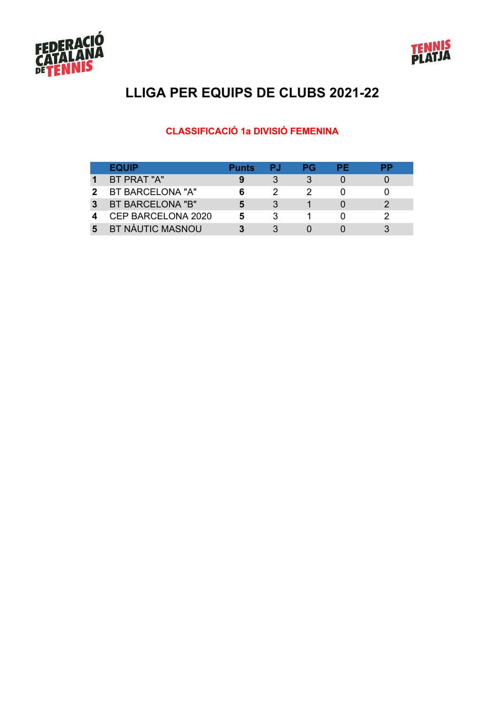



### **CLASSIFICACIÓ 1a DIVISIÓ FEMENINA**

|   | <b>EQUIP</b>            | <b>Punts</b> | PJ | РG | РF | PР |
|---|-------------------------|--------------|----|----|----|----|
|   | BT PRAT "A"             |              |    |    |    |    |
| 2 | BT BARCELONA "A"        |              |    |    |    |    |
| 3 | BT BARCELONA "B"        |              |    |    |    |    |
|   | CEP BARCELONA 2020      |              |    |    |    |    |
| 5 | <b>BT NÀUTIC MASNOU</b> |              |    |    |    |    |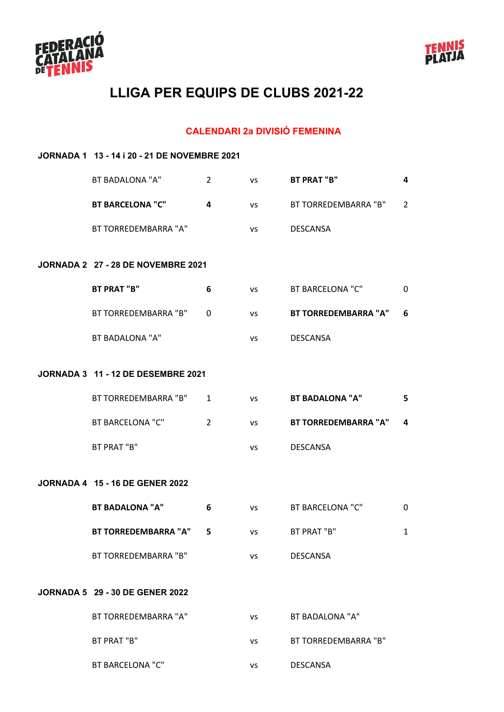



### **CALENDARI 2a DIVISIÓ FEMENINA**

| JORNADA 1 13 - 14 i 20 - 21 DE NOVEMBRE 2021 |                |           |                             |                |
|----------------------------------------------|----------------|-----------|-----------------------------|----------------|
| BT BADALONA "A"                              | $\overline{2}$ | <b>VS</b> | <b>BT PRAT "B"</b>          | 4              |
| <b>BT BARCELONA "C"</b>                      | 4              | <b>VS</b> | BT TORREDEMBARRA "B"        | $\overline{2}$ |
| BT TORREDEMBARRA "A"                         |                | <b>VS</b> | <b>DESCANSA</b>             |                |
| JORNADA 2 27 - 28 DE NOVEMBRE 2021           |                |           |                             |                |
|                                              |                |           |                             |                |
| <b>BT PRAT "B"</b>                           | 6              | <b>VS</b> | <b>BT BARCELONA "C"</b>     | 0              |
| BT TORREDEMBARRA "B"                         | 0              | <b>VS</b> | <b>BT TORREDEMBARRA "A"</b> | 6              |
| <b>BT BADALONA "A"</b>                       |                | <b>VS</b> | <b>DESCANSA</b>             |                |
|                                              |                |           |                             |                |
| JORNADA 3 11 - 12 DE DESEMBRE 2021           |                |           |                             |                |
| BT TORREDEMBARRA "B"                         | 1              | <b>VS</b> | <b>BT BADALONA "A"</b>      | 5              |
| <b>BT BARCELONA "C"</b>                      | $\overline{2}$ | <b>VS</b> | <b>BT TORREDEMBARRA "A"</b> | 4              |
| BT PRAT "B"                                  |                | vs        | <b>DESCANSA</b>             |                |
|                                              |                |           |                             |                |
| <b>JORNADA 4 15 - 16 DE GENER 2022</b>       |                |           |                             |                |
| <b>BT BADALONA "A"</b>                       | 6              | <b>VS</b> | <b>BT BARCELONA "C"</b>     | 0              |
| BT TORREDEMBARRA "A"                         | 5              | VS        | BT PRAT "B"                 | 1              |
| BT TORREDEMBARRA "B"                         |                | <b>VS</b> | <b>DESCANSA</b>             |                |
|                                              |                |           |                             |                |
| <b>JORNADA 5 29 - 30 DE GENER 2022</b>       |                |           |                             |                |
| BT TORREDEMBARRA "A"                         |                | VS        | BT BADALONA "A"             |                |
| BT PRAT "B"                                  |                | <b>VS</b> | BT TORREDEMBARRA "B"        |                |
| <b>BT BARCELONA "C"</b>                      |                | <b>VS</b> | <b>DESCANSA</b>             |                |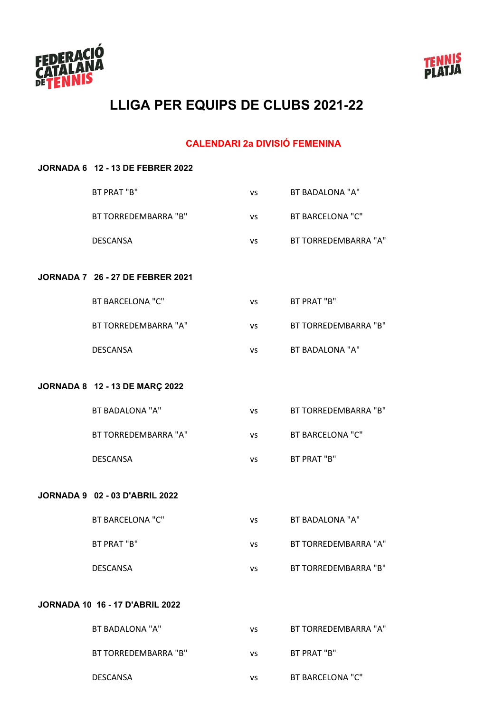



#### **CALENDARI 2a DIVISIÓ FEMENINA**

# **JORNADA 6 12 - 13 DE FEBRER 2022** BT PRAT "B" vs BT BADALONA "A" BT TORREDEMBARRA "B" vs BT BARCELONA "C" DESCANSA vs BT TORREDEMBARRA "A" **JORNADA 7 26 - 27 DE FEBRER 2021** BT BARCELONA "C" vs BT PRAT "B" BT TORREDEMBARRA "A" vs BT TORREDEMBARRA "B" DESCANSA vs BT BADALONA "A" **JORNADA 8 12 - 13 DE MARÇ 2022** BT BADALONA "A" vs BT TORREDEMBARRA "B" BT TORREDEMBARRA "A" vs BT BARCELONA "C" DESCANSA vs BT PRAT "B" **JORNADA 9 02 - 03 D'ABRIL 2022** BT BARCELONA "C" vs BT BADALONA "A" BT PRAT "B" vs BT TORREDEMBARRA "A" DESCANSA vs BT TORREDEMBARRA "B" **JORNADA 10 16 - 17 D'ABRIL 2022** BT BADALONA "A" vs BT TORREDEMBARRA "A" BT TORREDEMBARRA "B" vs BT PRAT "B"

DESCANSA vs BT BARCELONA "C"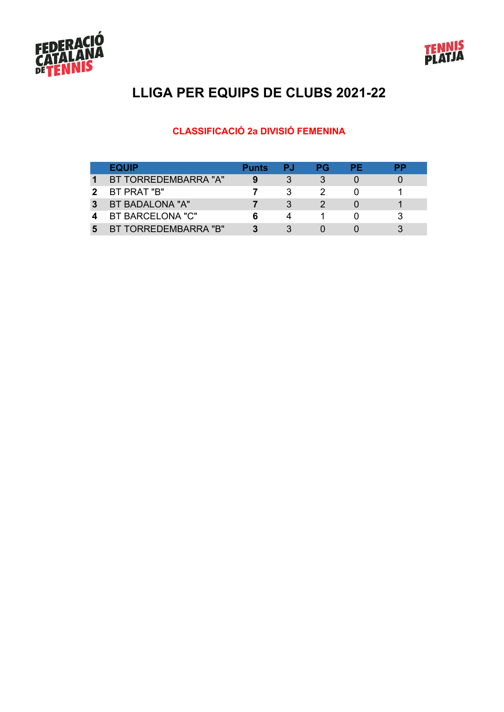



### **CLASSIFICACIÓ 2a DIVISIÓ FEMENINA**

|   | <b>EQUIP</b>         | <b>Punts</b> | PJ. | РG | РF | pр |
|---|----------------------|--------------|-----|----|----|----|
|   | BT TORREDEMBARRA "A" |              |     |    |    |    |
|   | BT PRAT "B"          |              |     |    |    |    |
| 3 | BT BADALONA "A"      |              |     |    |    |    |
|   | BT BARCELONA "C"     |              | Δ   |    |    |    |
|   | BT TORREDEMBARRA "B" |              |     |    |    |    |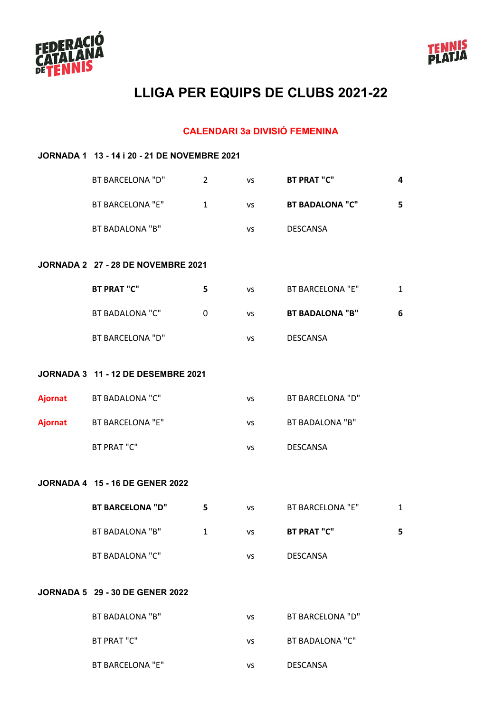



#### **CALENDARI 3a DIVISIÓ FEMENINA**

# **JORNADA 1 13 - 14 i 20 - 21 DE NOVEMBRE 2021** BT BARCELONA "D" 2 vs **BT PRAT "C" 4** BT BARCELONA "E" 1 vs **BT BADALONA "C" 5** BT BADALONA "B" vs DESCANSA **JORNADA 2 27 - 28 DE NOVEMBRE 2021 BT PRAT "C" 5** vs BT BARCELONA "E" 1 BT BADALONA "C" 0 vs **BT BADALONA "B" 6** BT BARCELONA "D" vs DESCANSA **JORNADA 3 11 - 12 DE DESEMBRE 2021 Ajornat** BT BADALONA "C" vs BT BARCELONA "D" **Ajornat** BT BARCELONA "F" vs BT BADALONA "B" BT PRAT "C" vs DESCANSA **JORNADA 4 15 - 16 DE GENER 2022 BT BARCELONA "D" 5** vs BT BARCELONA "E" 1 BT BADALONA "B" 1 vs **BT PRAT "C" 5** BT BADALONA "C" vs DESCANSA **JORNADA 5 29 - 30 DE GENER 2022** BT BADALONA "B" vs BT BARCELONA "D" BT PRAT "C" vs BT BADALONA "C"

BT BARCELONA "E" vs DESCANSA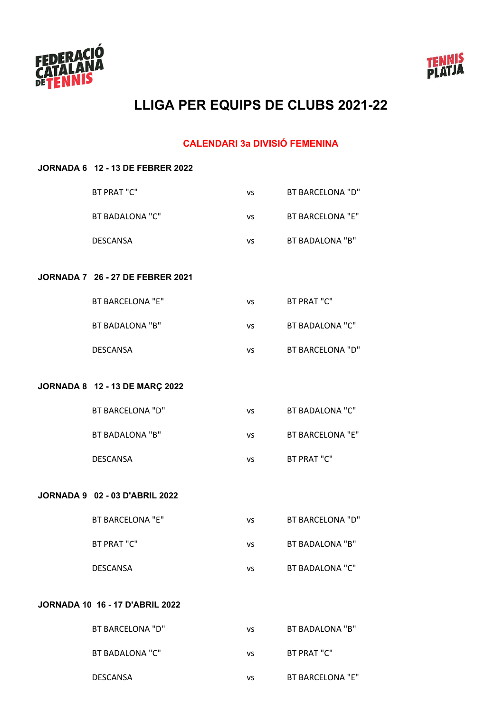



#### **CALENDARI 3a DIVISIÓ FEMENINA**

#### **JORNADA 6 12 - 13 DE FEBRER 2022**

| <b>BT PRAT "C"</b>                      | VS        | <b>BT BARCELONA "D"</b> |
|-----------------------------------------|-----------|-------------------------|
| <b>BT BADALONA "C"</b>                  | <b>VS</b> | <b>BT BARCELONA "E"</b> |
| <b>DESCANSA</b>                         | <b>VS</b> | BT BADALONA "B"         |
| <b>JORNADA 7 26 - 27 DE FEBRER 2021</b> |           |                         |
| <b>BT BARCELONA "E"</b>                 | <b>VS</b> | BT PRAT "C"             |
| <b>BT BADALONA "B"</b>                  | <b>VS</b> | <b>BT BADALONA "C"</b>  |
| <b>DESCANSA</b>                         | <b>VS</b> | <b>BT BARCELONA "D"</b> |
| JORNADA 8 12 - 13 DE MARÇ 2022          |           |                         |
| <b>BT BARCELONA "D"</b>                 | <b>VS</b> | <b>BT BADALONA "C"</b>  |
| <b>BT BADALONA "B"</b>                  | <b>VS</b> | <b>BT BARCELONA "E"</b> |
| <b>DESCANSA</b>                         | <b>VS</b> | BT PRAT "C"             |
| <b>JORNADA 9 02 - 03 D'ABRIL 2022</b>   |           |                         |
| <b>BT BARCELONA "E"</b>                 | <b>VS</b> | <b>BT BARCELONA "D"</b> |
| <b>BT PRAT "C"</b>                      | <b>VS</b> | <b>BT BADALONA "B"</b>  |
| <b>DESCANSA</b>                         | VS.       | <b>BT BADALONA "C"</b>  |
|                                         |           |                         |

#### **JORNADA 10 16 - 17 D'ABRIL 2022**

| BT BARCELONA "D" | vs | BT BADALONA "B"  |
|------------------|----|------------------|
| BT BADALONA "C"  | ٧S | BT PRAT "C"      |
| DESCANSA         | vs | BT BARCELONA "E" |